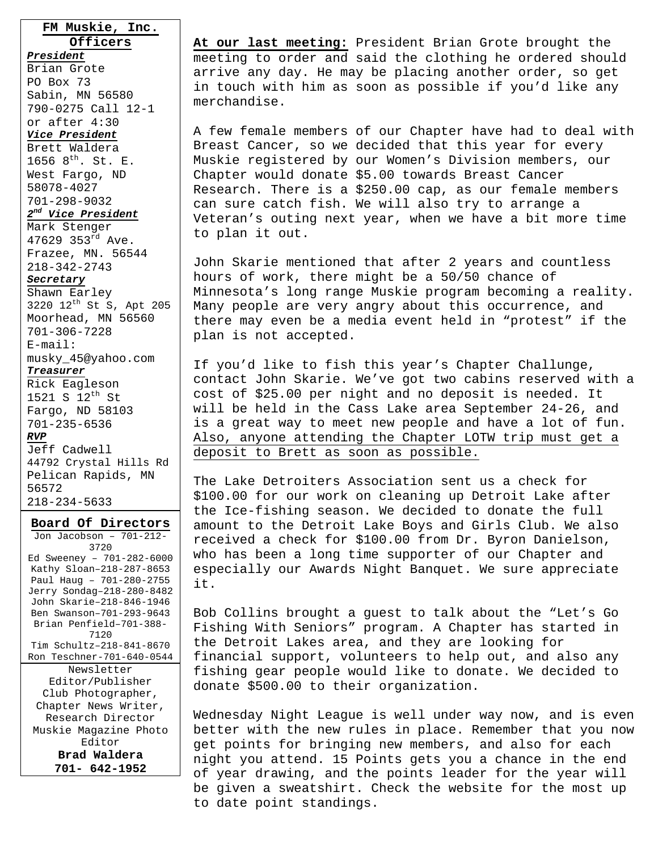### **FM Muskie, Inc. Officers**

*President*

Brian Grote PO Box 73 Sabin, MN 56580 790-0275 Call 12-1 or after 4:30

#### *Vice President*

Brett Waldera 1656  $8^{th}$ . St. E. West Fargo, ND 58078-4027 701-298-9032

## *2nd Vice President*

Mark Stenger 47629 353 $^{rd}$  Ave. Frazee, MN. 56544 218-342-2743

### *Secretary*

Shawn Earley 3220 12th St S, Apt 205 Moorhead, MN 56560 701-306-7228 E-mail: musky\_45@yahoo.com

### *Treasurer*

Rick Eagleson 1521 S  $12^{th}$  St Fargo, ND 58103 701-235-6536 *RVP*

Jeff Cadwell 44792 Crystal Hills Rd Pelican Rapids, MN 56572 218-234-5633

### **Board Of Directors**

Jon Jacobson – 701-212- 3720 Ed Sweeney – 701-282-6000 Kathy Sloan–218-287-8653 Paul Haug – 701-280-2755 Jerry Sondag–218-280-8482 John Skarie–218-846-1946 Ben Swanson–701-293-9643 Brian Penfield–701-388- 7120 Tim Schultz–218-841-8670 Ron Teschner-701-640-0544 Newsletter Editor/Publisher Club Photographer, Chapter News Writer, Research Director Muskie Magazine Photo Editor **Brad Waldera 701- 642-1952** 

**At our last meeting:** President Brian Grote brought the meeting to order and said the clothing he ordered should arrive any day. He may be placing another order, so get in touch with him as soon as possible if you'd like any merchandise.

A few female members of our Chapter have had to deal with Breast Cancer, so we decided that this year for every Muskie registered by our Women's Division members, our Chapter would donate \$5.00 towards Breast Cancer Research. There is a \$250.00 cap, as our female members can sure catch fish. We will also try to arrange a Veteran's outing next year, when we have a bit more time to plan it out.

John Skarie mentioned that after 2 years and countless hours of work, there might be a 50/50 chance of Minnesota's long range Muskie program becoming a reality. Many people are very angry about this occurrence, and there may even be a media event held in "protest" if the plan is not accepted.

If you'd like to fish this year's Chapter Challunge, contact John Skarie. We've got two cabins reserved with a cost of \$25.00 per night and no deposit is needed. It will be held in the Cass Lake area September 24-26, and is a great way to meet new people and have a lot of fun. Also, anyone attending the Chapter LOTW trip must get a deposit to Brett as soon as possible.

The Lake Detroiters Association sent us a check for \$100.00 for our work on cleaning up Detroit Lake after the Ice-fishing season. We decided to donate the full amount to the Detroit Lake Boys and Girls Club. We also received a check for \$100.00 from Dr. Byron Danielson, who has been a long time supporter of our Chapter and especially our Awards Night Banquet. We sure appreciate it.

Bob Collins brought a guest to talk about the "Let's Go Fishing With Seniors" program. A Chapter has started in the Detroit Lakes area, and they are looking for financial support, volunteers to help out, and also any fishing gear people would like to donate. We decided to donate \$500.00 to their organization.

Wednesday Night League is well under way now, and is even better with the new rules in place. Remember that you now get points for bringing new members, and also for each night you attend. 15 Points gets you a chance in the end of year drawing, and the points leader for the year will be given a sweatshirt. Check the website for the most up to date point standings.